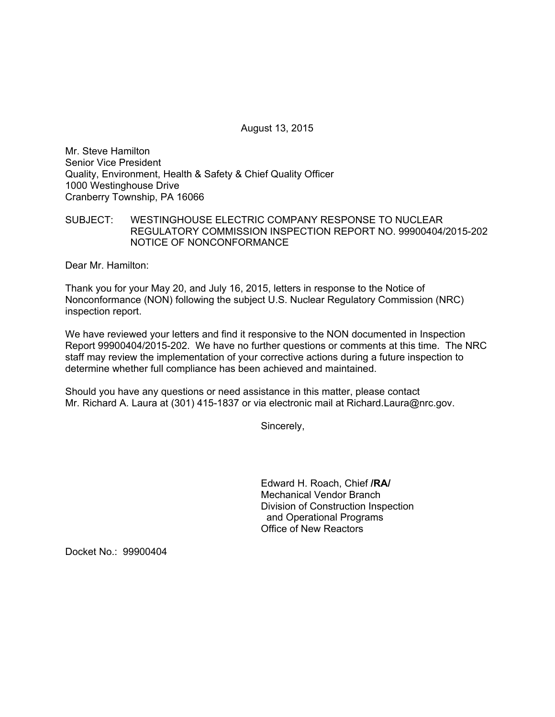August 13, 2015

Mr. Steve Hamilton Senior Vice President Quality, Environment, Health & Safety & Chief Quality Officer 1000 Westinghouse Drive Cranberry Township, PA 16066

SUBJECT: WESTINGHOUSE ELECTRIC COMPANY RESPONSE TO NUCLEAR REGULATORY COMMISSION INSPECTION REPORT NO. 99900404/2015-202 NOTICE OF NONCONFORMANCE

Dear Mr. Hamilton:

Thank you for your May 20, and July 16, 2015, letters in response to the Notice of Nonconformance (NON) following the subject U.S. Nuclear Regulatory Commission (NRC) inspection report.

We have reviewed your letters and find it responsive to the NON documented in Inspection Report 99900404/2015-202. We have no further questions or comments at this time. The NRC staff may review the implementation of your corrective actions during a future inspection to determine whether full compliance has been achieved and maintained.

Should you have any questions or need assistance in this matter, please contact Mr. Richard A. Laura at (301) 415-1837 or via electronic mail at Richard.Laura@nrc.gov.

Sincerely,

Edward H. Roach, Chief **/RA/**  Mechanical Vendor Branch Division of Construction Inspection and Operational Programs Office of New Reactors

Docket No.: 99900404